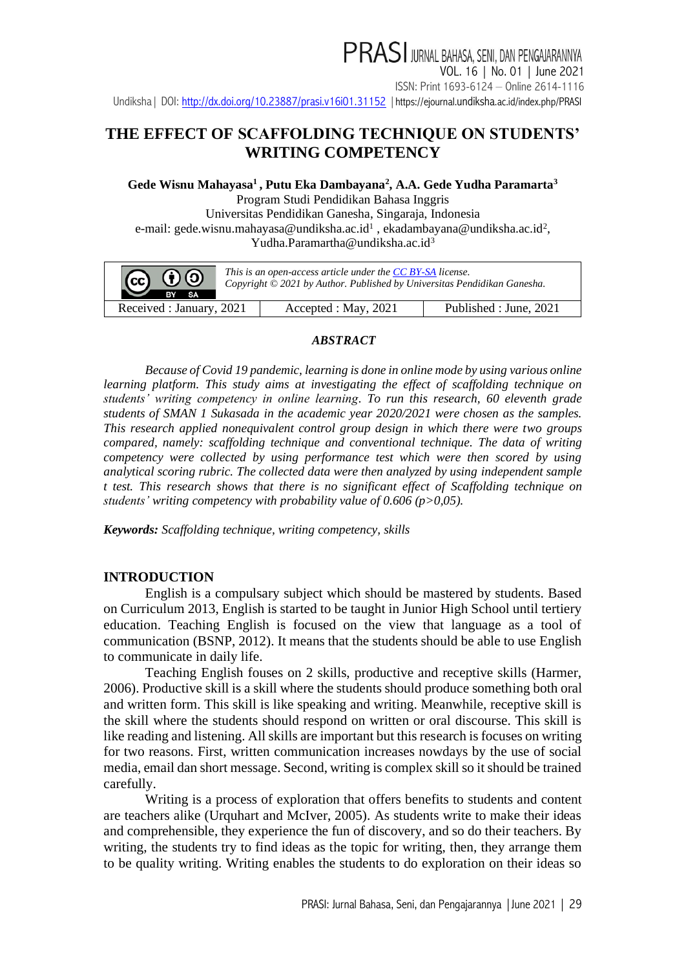PRASI JURNAL BAHASA, SENI, DAN PENGAJARANNYA VOL. 16 | No. 01 | June 2021 ISSN: Print 1693-6124 – Online 2614-1116 Undiksha | DOI:<http://dx.doi.org/10.23887/prasi.v16i01.31152> | https://ejournal.undiksha[.ac.id/index.php/PRASI](https://ejournal.undiksha.ac.id/index.php/PRASI)

### **THE EFFECT OF SCAFFOLDING TECHNIQUE ON STUDENTS' WRITING COMPETENCY**

**Gede Wisnu Mahayasa<sup>1</sup> , Putu Eka Dambayana<sup>2</sup> , A.A. Gede Yudha Paramarta<sup>3</sup>**

Program Studi Pendidikan Bahasa Inggris Universitas Pendidikan Ganesha, Singaraja, Indonesia e-mail: [gede.wisnu.mahayasa@undiksha.ac.id](mailto:gede.wisnu.mahayasa@undiksha.ac.id)<sup>1</sup>[, ekadambayana@undiksha.ac.id](mailto:ekadambayana@undiksha.ac.id)<sup>2</sup>, [Yudha.Paramartha@undiksha.ac.id](mailto:Yudha.Paramartha@undiksha.ac.id)<sup>3</sup>

| $ G \odot \Theta $<br>This is an open-access article under the CC BY-SA license.<br>Copyright © 2021 by Author. Published by Universitas Pendidikan Ganesha.<br>BY<br><b>SA</b> |                     |                        |
|---------------------------------------------------------------------------------------------------------------------------------------------------------------------------------|---------------------|------------------------|
| Received : January, 2021                                                                                                                                                        | Accepted: May, 2021 | Published : June, 2021 |

#### *ABSTRACT*

*Because of Covid 19 pandemic, learning is done in online mode by using various online learning platform. This study aims at investigating the effect of scaffolding technique on students' writing competency in online learning. To run this research, 60 eleventh grade students of SMAN 1 Sukasada in the academic year 2020/2021 were chosen as the samples. This research applied nonequivalent control group design in which there were two groups compared, namely: scaffolding technique and conventional technique. The data of writing competency were collected by using performance test which were then scored by using analytical scoring rubric. The collected data were then analyzed by using independent sample t test. This research shows that there is no significant effect of Scaffolding technique on students' writing competency with probability value of 0.606 (p>0,05).*

*Keywords: Scaffolding technique, writing competency, skills*

#### **INTRODUCTION**

English is a compulsary subject which should be mastered by students. Based on Curriculum 2013, English is started to be taught in Junior High School until tertiery education. Teaching English is focused on the view that language as a tool of communication (BSNP, 2012). It means that the students should be able to use English to communicate in daily life.

Teaching English fouses on 2 skills, productive and receptive skills (Harmer, 2006). Productive skill is a skill where the students should produce something both oral and written form. This skill is like speaking and writing. Meanwhile, receptive skill is the skill where the students should respond on written or oral discourse. This skill is like reading and listening. All skills are important but this research is focuses on writing for two reasons. First, written communication increases nowdays by the use of social media, email dan short message. Second, writing is complex skill so it should be trained carefully.

Writing is a process of exploration that offers benefits to students and content are teachers alike (Urquhart and McIver, 2005). As students write to make their ideas and comprehensible, they experience the fun of discovery, and so do their teachers. By writing, the students try to find ideas as the topic for writing, then, they arrange them to be quality writing. Writing enables the students to do exploration on their ideas so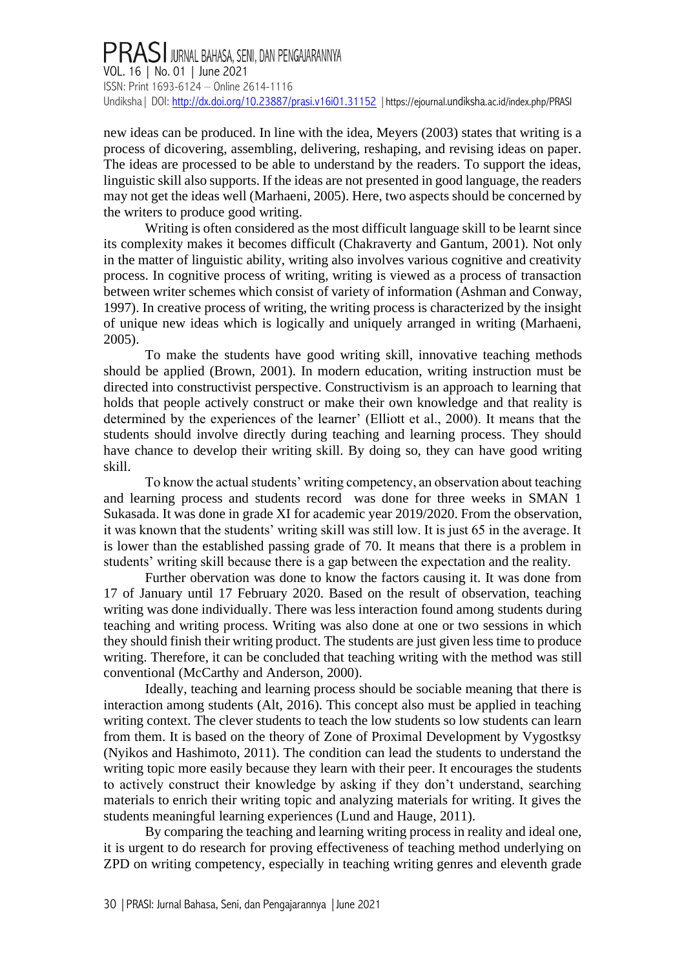## PRASI JURNAL BAHASA, SENI, DAN PENGAJARANNYA<br>VOL. 16 | No. 01 | June 2021 ISSN: Print 1693-6124 – Online 2614-1116 Undiksha | DOI[: http://dx.doi.org/10.23887/prasi.v16i01.31152](http://dx.doi.org/10.23887/prasi.v16i01.31152) | https://ejournal.undiksha[.ac.id/index.php/PRASI](https://ejournal.undiksha.ac.id/index.php/PRASI)

new ideas can be produced. In line with the idea, Meyers (2003) states that writing is a process of dicovering, assembling, delivering, reshaping, and revising ideas on paper. The ideas are processed to be able to understand by the readers. To support the ideas, linguistic skill also supports. If the ideas are not presented in good language, the readers may not get the ideas well (Marhaeni, 2005). Here, two aspects should be concerned by the writers to produce good writing.

Writing is often considered as the most difficult language skill to be learnt since its complexity makes it becomes difficult (Chakraverty and Gantum, 2001). Not only in the matter of linguistic ability, writing also involves various cognitive and creativity process. In cognitive process of writing, writing is viewed as a process of transaction between writer schemes which consist of variety of information (Ashman and Conway, 1997). In creative process of writing, the writing process is characterized by the insight of unique new ideas which is logically and uniquely arranged in writing (Marhaeni, 2005).

To make the students have good writing skill, innovative teaching methods should be applied (Brown, 2001). In modern education, writing instruction must be directed into constructivist perspective. Constructivism is an approach to learning that holds that people actively construct or make their own knowledge and that reality is determined by the experiences of the learner' (Elliott et al., 2000). It means that the students should involve directly during teaching and learning process. They should have chance to develop their writing skill. By doing so, they can have good writing skill.

To know the actual students' writing competency, an observation about teaching and learning process and students record was done for three weeks in SMAN 1 Sukasada. It was done in grade XI for academic year 2019/2020. From the observation, it was known that the students' writing skill was still low. It is just 65 in the average. It is lower than the established passing grade of 70. It means that there is a problem in students' writing skill because there is a gap between the expectation and the reality.

Further obervation was done to know the factors causing it. It was done from 17 of January until 17 February 2020. Based on the result of observation, teaching writing was done individually. There was less interaction found among students during teaching and writing process. Writing was also done at one or two sessions in which they should finish their writing product. The students are just given less time to produce writing. Therefore, it can be concluded that teaching writing with the method was still conventional (McCarthy and Anderson, 2000).

Ideally, teaching and learning process should be sociable meaning that there is interaction among students (Alt, 2016). This concept also must be applied in teaching writing context. The clever students to teach the low students so low students can learn from them. It is based on the theory of Zone of Proximal Development by Vygostksy (Nyikos and Hashimoto, 2011). The condition can lead the students to understand the writing topic more easily because they learn with their peer. It encourages the students to actively construct their knowledge by asking if they don't understand, searching materials to enrich their writing topic and analyzing materials for writing. It gives the students meaningful learning experiences (Lund and Hauge, 2011).

By comparing the teaching and learning writing process in reality and ideal one, it is urgent to do research for proving effectiveness of teaching method underlying on ZPD on writing competency, especially in teaching writing genres and eleventh grade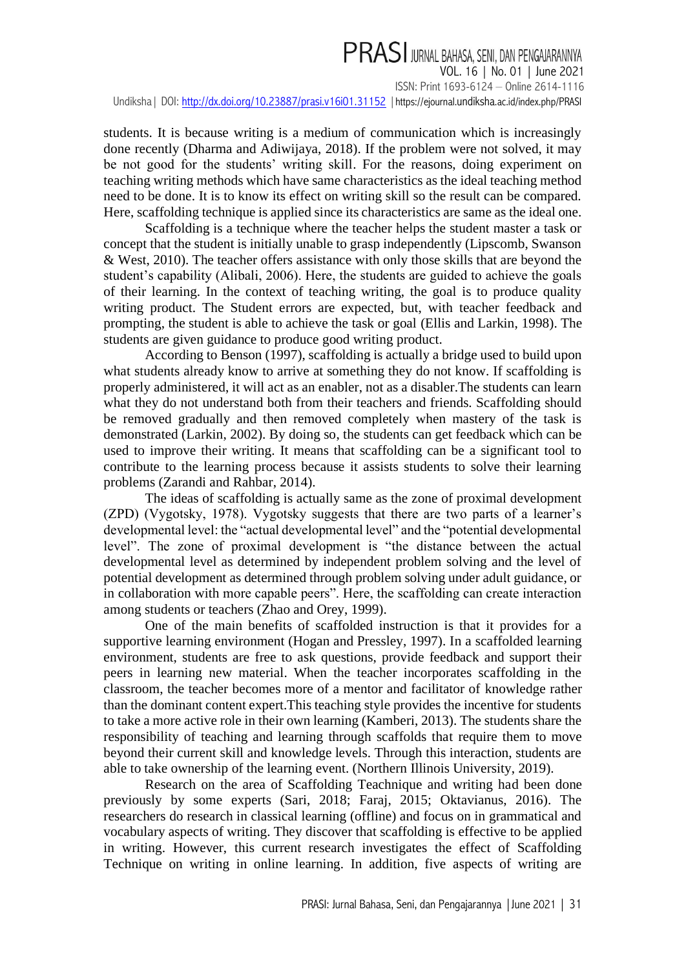# PRASI JURNAL BAHASA, SENI, DAN PENGAJARANNYA

VOL. 16 | No. 01 | June 2021 ISSN: Print 1693-6124 – Online 2614-1116 Undiksha | DOI:<http://dx.doi.org/10.23887/prasi.v16i01.31152> | https://ejournal.undiksha[.ac.id/index.php/PRASI](https://ejournal.undiksha.ac.id/index.php/PRASI)

students. It is because writing is a medium of communication which is increasingly done recently (Dharma and Adiwijaya, 2018). If the problem were not solved, it may be not good for the students' writing skill. For the reasons, doing experiment on teaching writing methods which have same characteristics as the ideal teaching method need to be done. It is to know its effect on writing skill so the result can be compared. Here, scaffolding technique is applied since its characteristics are same as the ideal one.

Scaffolding is a technique where the teacher helps the student master a task or concept that the student is initially unable to grasp independently (Lipscomb, Swanson & West, 2010). The teacher offers assistance with only those skills that are beyond the student's capability (Alibali, 2006). Here, the students are guided to achieve the goals of their learning. In the context of teaching writing, the goal is to produce quality writing product. The Student errors are expected, but, with teacher feedback and prompting, the student is able to achieve the task or goal (Ellis and Larkin, 1998). The students are given guidance to produce good writing product.

According to Benson (1997), scaffolding is actually a bridge used to build upon what students already know to arrive at something they do not know. If scaffolding is properly administered, it will act as an enabler, not as a disabler.The students can learn what they do not understand both from their teachers and friends. Scaffolding should be removed gradually and then removed completely when mastery of the task is demonstrated (Larkin, 2002). By doing so, the students can get feedback which can be used to improve their writing. It means that scaffolding can be a significant tool to contribute to the learning process because it assists students to solve their learning problems (Zarandi and Rahbar, 2014).

The ideas of scaffolding is actually same as the zone of proximal development (ZPD) (Vygotsky, 1978). Vygotsky suggests that there are two parts of a learner's developmental level: the "actual developmental level" and the "potential developmental level". The zone of proximal development is "the distance between the actual developmental level as determined by independent problem solving and the level of potential development as determined through problem solving under adult guidance, or in collaboration with more capable peers". Here, the scaffolding can create interaction among students or teachers (Zhao and Orey, 1999).

One of the main benefits of scaffolded instruction is that it provides for a supportive learning environment (Hogan and Pressley, 1997). In a scaffolded learning environment, students are free to ask questions, provide feedback and support their peers in learning new material. When the teacher incorporates scaffolding in the classroom, the teacher becomes more of a mentor and facilitator of knowledge rather than the dominant content expert.This teaching style provides the incentive for students to take a more active role in their own learning (Kamberi, 2013). The students share the responsibility of teaching and learning through scaffolds that require them to move beyond their current skill and knowledge levels. Through this interaction, students are able to take ownership of the learning event. (Northern Illinois University, 2019).

Research on the area of Scaffolding Teachnique and writing had been done previously by some experts (Sari, 2018; Faraj, 2015; Oktavianus, 2016). The researchers do research in classical learning (offline) and focus on in grammatical and vocabulary aspects of writing. They discover that scaffolding is effective to be applied in writing. However, this current research investigates the effect of Scaffolding Technique on writing in online learning. In addition, five aspects of writing are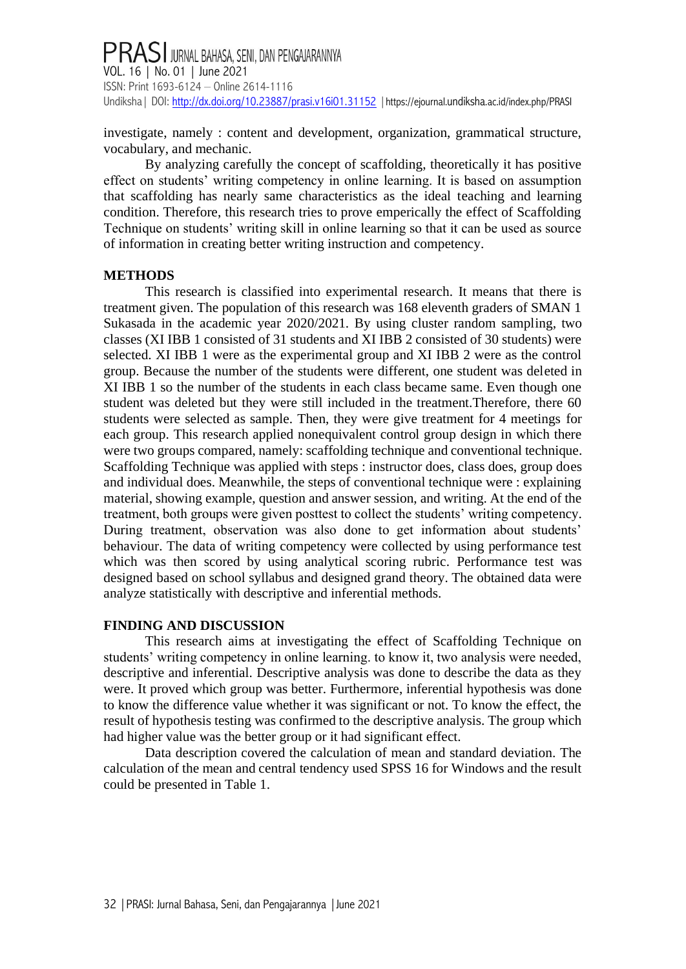### **PRASI** JURNAL BAHASA, SENI, DAN PENGAJARANNYA VOL. 16 | No. 01 | June 2021 ISSN: Print 1693-6124 – Online 2614-1116 Undiksha | DOI[: http://dx.doi.org/10.23887/prasi.v16i01.31152](http://dx.doi.org/10.23887/prasi.v16i01.31152) | https://ejournal.undiksha[.ac.id/index.php/PRASI](https://ejournal.undiksha.ac.id/index.php/PRASI)

investigate, namely : content and development, organization, grammatical structure, vocabulary, and mechanic.

By analyzing carefully the concept of scaffolding, theoretically it has positive effect on students' writing competency in online learning. It is based on assumption that scaffolding has nearly same characteristics as the ideal teaching and learning condition. Therefore, this research tries to prove emperically the effect of Scaffolding Technique on students' writing skill in online learning so that it can be used as source of information in creating better writing instruction and competency.

#### **METHODS**

This research is classified into experimental research. It means that there is treatment given. The population of this research was 168 eleventh graders of SMAN 1 Sukasada in the academic year 2020/2021. By using cluster random sampling, two classes (XI IBB 1 consisted of 31 students and XI IBB 2 consisted of 30 students) were selected. XI IBB 1 were as the experimental group and XI IBB 2 were as the control group. Because the number of the students were different, one student was deleted in XI IBB 1 so the number of the students in each class became same. Even though one student was deleted but they were still included in the treatment.Therefore, there 60 students were selected as sample. Then, they were give treatment for 4 meetings for each group. This research applied nonequivalent control group design in which there were two groups compared, namely: scaffolding technique and conventional technique. Scaffolding Technique was applied with steps : instructor does, class does, group does and individual does. Meanwhile, the steps of conventional technique were : explaining material, showing example, question and answer session, and writing. At the end of the treatment, both groups were given posttest to collect the students' writing competency. During treatment, observation was also done to get information about students' behaviour. The data of writing competency were collected by using performance test which was then scored by using analytical scoring rubric. Performance test was designed based on school syllabus and designed grand theory. The obtained data were analyze statistically with descriptive and inferential methods.

#### **FINDING AND DISCUSSION**

This research aims at investigating the effect of Scaffolding Technique on students' writing competency in online learning. to know it, two analysis were needed, descriptive and inferential. Descriptive analysis was done to describe the data as they were. It proved which group was better. Furthermore, inferential hypothesis was done to know the difference value whether it was significant or not. To know the effect, the result of hypothesis testing was confirmed to the descriptive analysis. The group which had higher value was the better group or it had significant effect.

Data description covered the calculation of mean and standard deviation. The calculation of the mean and central tendency used SPSS 16 for Windows and the result could be presented in Table 1.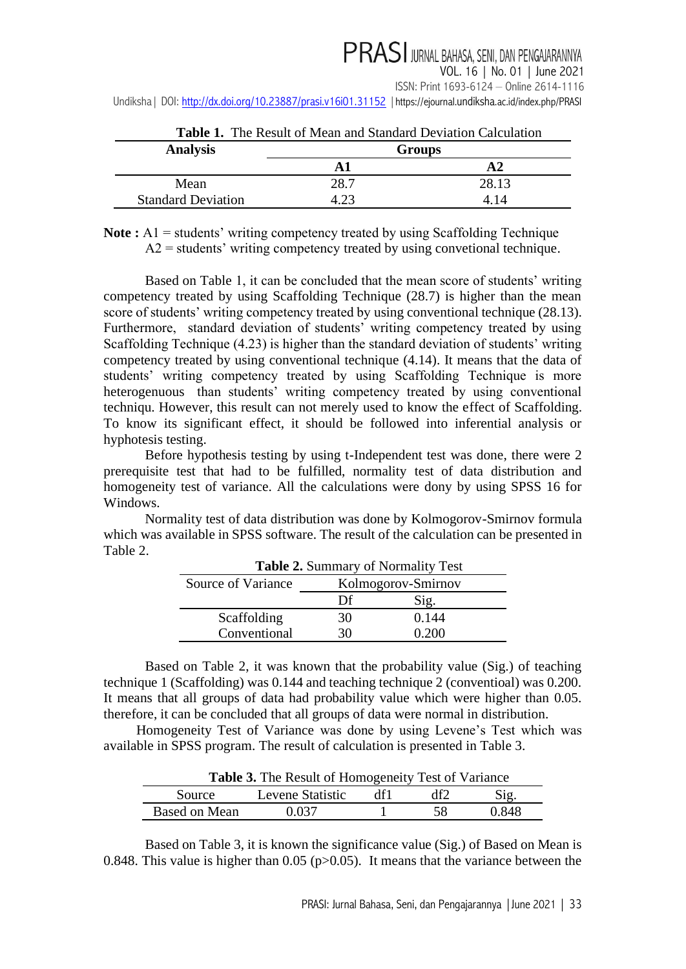| <b>Table 1.</b> The Result of Mean and Standard Deviation Calculation |               |                 |  |
|-----------------------------------------------------------------------|---------------|-----------------|--|
| <b>Analysis</b>                                                       | <b>Groups</b> |                 |  |
|                                                                       |               |                 |  |
| Mean                                                                  | 28.7          | 28.13           |  |
| <b>Standard Deviation</b>                                             |               | $\overline{14}$ |  |

**Table 1.** The Result of Mean and Standard Deviation Calculation

Note : A1 = students' writing competency treated by using Scaffolding Technique  $A2$  = students' writing competency treated by using convetional technique.

Based on Table 1, it can be concluded that the mean score of students' writing competency treated by using Scaffolding Technique (28.7) is higher than the mean score of students' writing competency treated by using conventional technique (28.13). Furthermore, standard deviation of students' writing competency treated by using Scaffolding Technique (4.23) is higher than the standard deviation of students' writing competency treated by using conventional technique (4.14). It means that the data of students' writing competency treated by using Scaffolding Technique is more heterogenuous than students' writing competency treated by using conventional techniqu. However, this result can not merely used to know the effect of Scaffolding. To know its significant effect, it should be followed into inferential analysis or hyphotesis testing.

Before hypothesis testing by using t-Independent test was done, there were 2 prerequisite test that had to be fulfilled, normality test of data distribution and homogeneity test of variance. All the calculations were dony by using SPSS 16 for Windows.

Normality test of data distribution was done by Kolmogorov-Smirnov formula which was available in SPSS software. The result of the calculation can be presented in Table 2.

| <b>Table 2.</b> Summary of Normality Test |                    |       |  |
|-------------------------------------------|--------------------|-------|--|
| Source of Variance                        | Kolmogorov-Smirnov |       |  |
|                                           | Df                 | Sig.  |  |
| Scaffolding                               | 30                 | 0.144 |  |
| Conventional                              | 30                 | 0 200 |  |

Based on Table 2, it was known that the probability value (Sig.) of teaching technique 1 (Scaffolding) was 0.144 and teaching technique 2 (conventioal) was 0.200. It means that all groups of data had probability value which were higher than 0.05.

therefore, it can be concluded that all groups of data were normal in distribution. Homogeneity Test of Variance was done by using Levene's Test which was available in SPSS program. The result of calculation is presented in Table 3.

| <b>Table 3.</b> The Result of Homogeneity Test of Variance |                  |     |    |       |
|------------------------------------------------------------|------------------|-----|----|-------|
| Source.                                                    | Levene Statistic | df1 |    | Sig.  |
| Based on Mean                                              | በ በ37            |     | 58 | 0.848 |

Based on Table 3, it is known the significance value (Sig.) of Based on Mean is 0.848. This value is higher than 0.05 ( $p > 0.05$ ). It means that the variance between the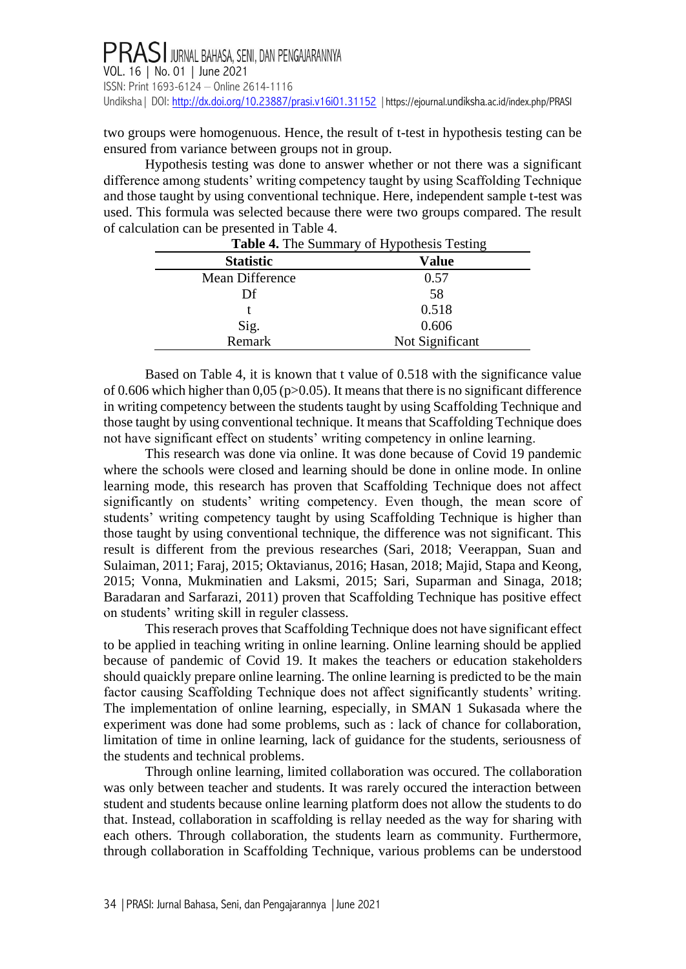two groups were homogenuous. Hence, the result of t-test in hypothesis testing can be ensured from variance between groups not in group.

Hypothesis testing was done to answer whether or not there was a significant difference among students' writing competency taught by using Scaffolding Technique and those taught by using conventional technique. Here, independent sample t-test was used. This formula was selected because there were two groups compared. The result of calculation can be presented in Table 4.

| <b>Table 4.</b> The Summary of Hypothesis Testing |                 |  |
|---------------------------------------------------|-----------------|--|
| <b>Statistic</b>                                  | Value           |  |
| Mean Difference                                   | 0.57            |  |
| Df                                                | 58              |  |
|                                                   | 0.518           |  |
| Sig.<br>Remark                                    | 0.606           |  |
|                                                   | Not Significant |  |

Based on Table 4, it is known that t value of 0.518 with the significance value of 0.606 which higher than 0,05 ( $p > 0.05$ ). It means that there is no significant difference in writing competency between the students taught by using Scaffolding Technique and those taught by using conventional technique. It means that Scaffolding Technique does not have significant effect on students' writing competency in online learning.

This research was done via online. It was done because of Covid 19 pandemic where the schools were closed and learning should be done in online mode. In online learning mode, this research has proven that Scaffolding Technique does not affect significantly on students' writing competency. Even though, the mean score of students' writing competency taught by using Scaffolding Technique is higher than those taught by using conventional technique, the difference was not significant. This result is different from the previous researches (Sari, 2018; Veerappan, Suan and Sulaiman, 2011; Faraj, 2015; Oktavianus, 2016; Hasan, 2018; Majid, Stapa and Keong, 2015; Vonna, Mukminatien and Laksmi, 2015; Sari, Suparman and Sinaga, 2018; Baradaran and Sarfarazi, 2011) proven that Scaffolding Technique has positive effect on students' writing skill in reguler classess.

This reserach proves that Scaffolding Technique does not have significant effect to be applied in teaching writing in online learning. Online learning should be applied because of pandemic of Covid 19. It makes the teachers or education stakeholders should quaickly prepare online learning. The online learning is predicted to be the main factor causing Scaffolding Technique does not affect significantly students' writing. The implementation of online learning, especially, in SMAN 1 Sukasada where the experiment was done had some problems, such as : lack of chance for collaboration, limitation of time in online learning, lack of guidance for the students, seriousness of the students and technical problems.

Through online learning, limited collaboration was occured. The collaboration was only between teacher and students. It was rarely occured the interaction between student and students because online learning platform does not allow the students to do that. Instead, collaboration in scaffolding is rellay needed as the way for sharing with each others. Through collaboration, the students learn as community. Furthermore, through collaboration in Scaffolding Technique, various problems can be understood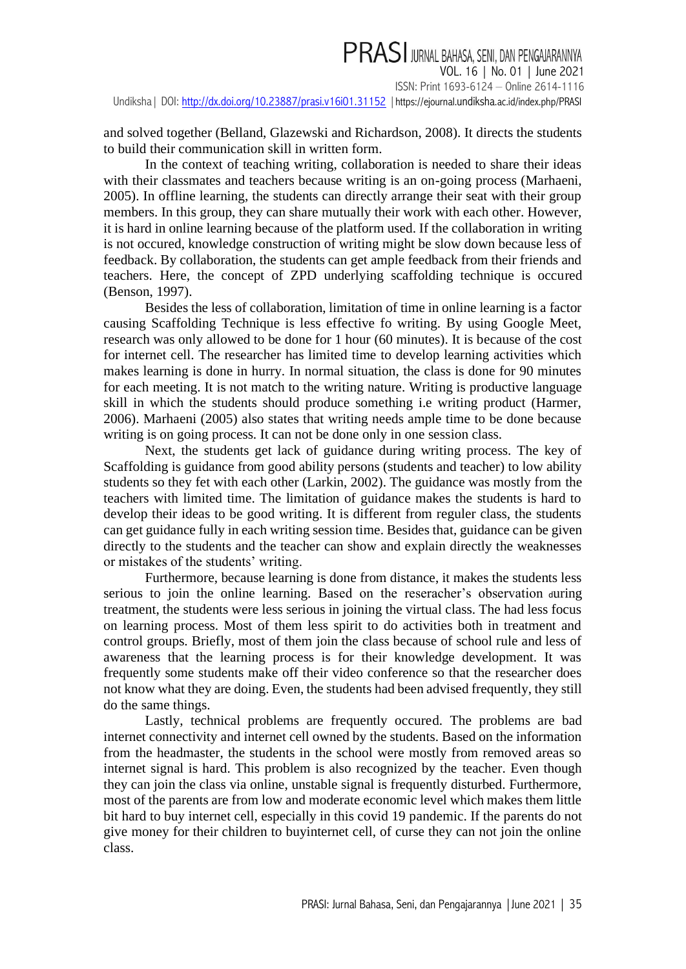# PRASI JURNAL BAHASA, SENI, DAN PENGAJARANNYA

VOL. 16 | No. 01 | June 2021 ISSN: Print 1693-6124 – Online 2614-1116

Undiksha | DOI:<http://dx.doi.org/10.23887/prasi.v16i01.31152> | https://ejournal.undiksha[.ac.id/index.php/PRASI](https://ejournal.undiksha.ac.id/index.php/PRASI)

and solved together (Belland, Glazewski and Richardson, 2008). It directs the students to build their communication skill in written form.

In the context of teaching writing, collaboration is needed to share their ideas with their classmates and teachers because writing is an on-going process (Marhaeni, 2005). In offline learning, the students can directly arrange their seat with their group members. In this group, they can share mutually their work with each other. However, it is hard in online learning because of the platform used. If the collaboration in writing is not occured, knowledge construction of writing might be slow down because less of feedback. By collaboration, the students can get ample feedback from their friends and teachers. Here, the concept of ZPD underlying scaffolding technique is occured (Benson, 1997).

Besides the less of collaboration, limitation of time in online learning is a factor causing Scaffolding Technique is less effective fo writing. By using Google Meet, research was only allowed to be done for 1 hour (60 minutes). It is because of the cost for internet cell. The researcher has limited time to develop learning activities which makes learning is done in hurry. In normal situation, the class is done for 90 minutes for each meeting. It is not match to the writing nature. Writing is productive language skill in which the students should produce something i.e writing product (Harmer, 2006). Marhaeni (2005) also states that writing needs ample time to be done because writing is on going process. It can not be done only in one session class.

Next, the students get lack of guidance during writing process. The key of Scaffolding is guidance from good ability persons (students and teacher) to low ability students so they fet with each other (Larkin, 2002). The guidance was mostly from the teachers with limited time. The limitation of guidance makes the students is hard to develop their ideas to be good writing. It is different from reguler class, the students can get guidance fully in each writing session time. Besides that, guidance can be given directly to the students and the teacher can show and explain directly the weaknesses or mistakes of the students' writing.

Furthermore, because learning is done from distance, it makes the students less serious to join the online learning. Based on the reseracher's observation <sup>d</sup>uring treatment, the students were less serious in joining the virtual class. The had less focus on learning process. Most of them less spirit to do activities both in treatment and control groups. Briefly, most of them join the class because of school rule and less of awareness that the learning process is for their knowledge development. It was frequently some students make off their video conference so that the researcher does not know what they are doing. Even, the students had been advised frequently, they still do the same things.

Lastly, technical problems are frequently occured. The problems are bad internet connectivity and internet cell owned by the students. Based on the information from the headmaster, the students in the school were mostly from removed areas so internet signal is hard. This problem is also recognized by the teacher. Even though they can join the class via online, unstable signal is frequently disturbed. Furthermore, most of the parents are from low and moderate economic level which makes them little bit hard to buy internet cell, especially in this covid 19 pandemic. If the parents do not give money for their children to buyinternet cell, of curse they can not join the online class.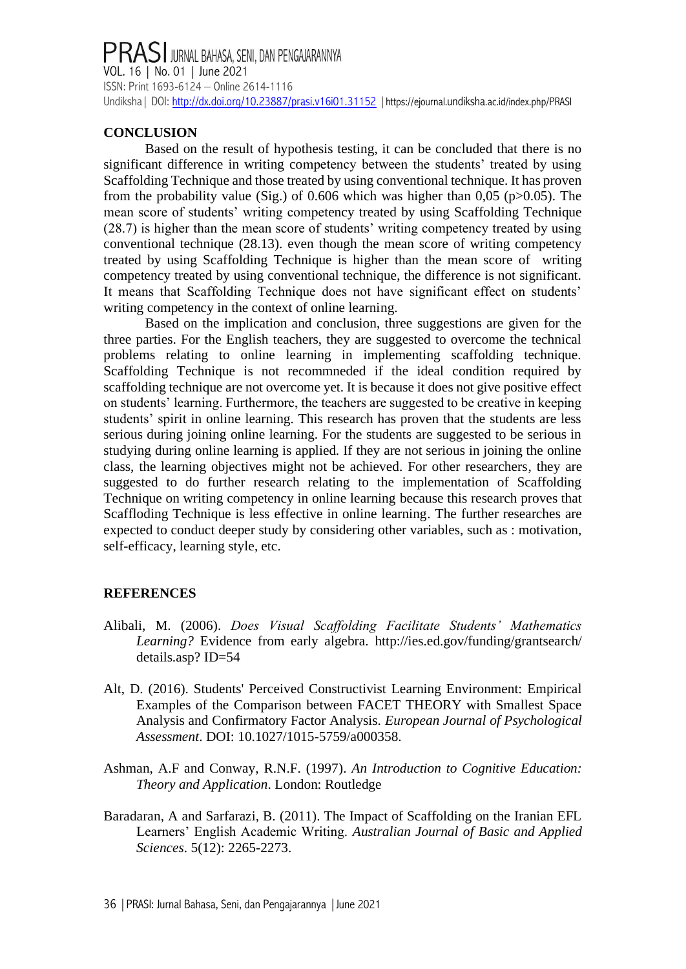## PRASI JURNAL BAHASA, SENI, DAN PENGAJARANNYA<br>VOL. 16 | No. 01 | June 2021 ISSN: Print 1693-6124 – Online 2614-1116 Undiksha | DOI[: http://dx.doi.org/10.23887/prasi.v16i01.31152](http://dx.doi.org/10.23887/prasi.v16i01.31152) | https://ejournal.undiksha[.ac.id/index.php/PRASI](https://ejournal.undiksha.ac.id/index.php/PRASI)

### **CONCLUSION**

Based on the result of hypothesis testing, it can be concluded that there is no significant difference in writing competency between the students' treated by using Scaffolding Technique and those treated by using conventional technique. It has proven from the probability value (Sig.) of 0.606 which was higher than 0,05 ( $p > 0.05$ ). The mean score of students' writing competency treated by using Scaffolding Technique (28.7) is higher than the mean score of students' writing competency treated by using conventional technique (28.13). even though the mean score of writing competency treated by using Scaffolding Technique is higher than the mean score of writing competency treated by using conventional technique, the difference is not significant. It means that Scaffolding Technique does not have significant effect on students' writing competency in the context of online learning.

Based on the implication and conclusion, three suggestions are given for the three parties. For the English teachers, they are suggested to overcome the technical problems relating to online learning in implementing scaffolding technique. Scaffolding Technique is not recommneded if the ideal condition required by scaffolding technique are not overcome yet. It is because it does not give positive effect on students' learning. Furthermore, the teachers are suggested to be creative in keeping students' spirit in online learning. This research has proven that the students are less serious during joining online learning. For the students are suggested to be serious in studying during online learning is applied. If they are not serious in joining the online class, the learning objectives might not be achieved. For other researchers, they are suggested to do further research relating to the implementation of Scaffolding Technique on writing competency in online learning because this research proves that Scaffloding Technique is less effective in online learning. The further researches are expected to conduct deeper study by considering other variables, such as : motivation, self-efficacy, learning style, etc.

### **REFERENCES**

- Alibali, M. (2006). *Does Visual Scaffolding Facilitate Students' Mathematics Learning?* Evidence from early algebra. [http://ies.ed.gov/funding/grantsearch/](http://ies.ed.gov/funding/grantsearch/%20details.asp?%20ID=54) [details.asp?](http://ies.ed.gov/funding/grantsearch/%20details.asp?%20ID=54) ID=54
- Alt, D. (2016). Students' Perceived Constructivist Learning Environment: Empirical Examples of the Comparison between FACET THEORY with Smallest Space Analysis and Confirmatory Factor Analysis. *European Journal of Psychological Assessment*. DOI: 10.1027/1015-5759/a000358.
- Ashman, A.F and Conway, R.N.F. (1997). *An Introduction to Cognitive Education: Theory and Application*. London: Routledge
- Baradaran, A and Sarfarazi, B. (2011). The Impact of Scaffolding on the Iranian EFL Learners' English Academic Writing. *Australian Journal of Basic and Applied Sciences*. 5(12): 2265-2273.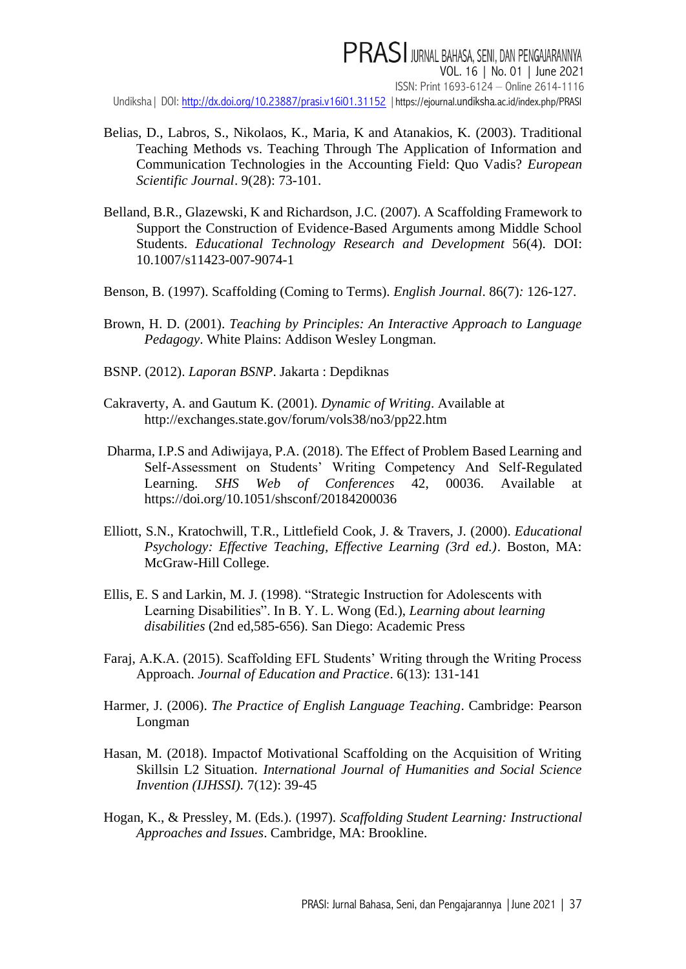**PRASI** JURNAL BAHASA, SENI, DAN PENGAJARANNYA VOL. 16 | No. 01 | June 2021 ISSN: Print 1693-6124 – Online 2614-1116 Undiksha | DOI:<http://dx.doi.org/10.23887/prasi.v16i01.31152> | https://ejournal.undiksha[.ac.id/index.php/PRASI](https://ejournal.undiksha.ac.id/index.php/PRASI)

- Belias, D., Labros, S., Nikolaos, K., Maria, K and Atanakios, K. (2003). Traditional Teaching Methods vs. Teaching Through The Application of Information and Communication Technologies in the Accounting Field: Quo Vadis? *European Scientific Journal*. 9(28): 73-101.
- Belland, B.R., Glazewski, K and Richardson, J.C. (2007). A Scaffolding Framework to Support the Construction of Evidence-Based Arguments among Middle School Students. *[Educational Technology Research and Development](https://www.researchgate.net/journal/Educational-Technology-Research-and-Development-1556-6501)* 56(4). DOI: [10.1007/s11423-007-9074-1](https://www.researchgate.net/deref/http%3A%2F%2Fdx.doi.org%2F10.1007%2Fs11423-007-9074-1)
- Benson, B. (1997). Scaffolding (Coming to Terms). *English Journal*. 86(7)*:* 126-127.
- Brown, H. D. (2001). *Teaching by Principles: An Interactive Approach to Language Pedagogy*. White Plains: Addison Wesley Longman.
- BSNP. (2012). *Laporan BSNP*. Jakarta : Depdiknas
- Cakraverty, A. and Gautum K. (2001). *Dynamic of Writing*. Available at <http://exchanges.state.gov/forum/vols38/no3/pp22.htm>
- Dharma, I.P.S and Adiwijaya, P.A. (2018). The Effect of Problem Based Learning and Self-Assessment on Students' Writing Competency And Self-Regulated Learning. *SHS Web of Conferences* 42, 00036. Available at https://doi.org/10.1051/shsconf/20184200036
- Elliott, S.N., Kratochwill, T.R., Littlefield Cook, J. & Travers, J. (2000). *Educational Psychology: Effective Teaching, Effective Learning (3rd ed.)*. Boston, MA: McGraw-Hill College.
- Ellis, E. S and Larkin, M. J. (1998). "Strategic Instruction for Adolescents with Learning Disabilities". In B. Y. L. Wong (Ed.), *Learning about learning disabilities* (2nd ed,585-656). San Diego: Academic Press
- Faraj, A.K.A. (2015). Scaffolding EFL Students' Writing through the Writing Process Approach. *Journal of Education and Practice*. 6(13): 131-141
- Harmer, J. (2006). *The Practice of English Language Teaching*. Cambridge: Pearson Longman
- Hasan, M. (2018). Impactof Motivational Scaffolding on the Acquisition of Writing Skillsin L2 Situation. *International Journal of Humanities and Social Science Invention (IJHSSI).* 7(12): 39-45
- Hogan, K., & Pressley, M. (Eds.). (1997). *Scaffolding Student Learning: Instructional Approaches and Issues*. Cambridge, MA: Brookline.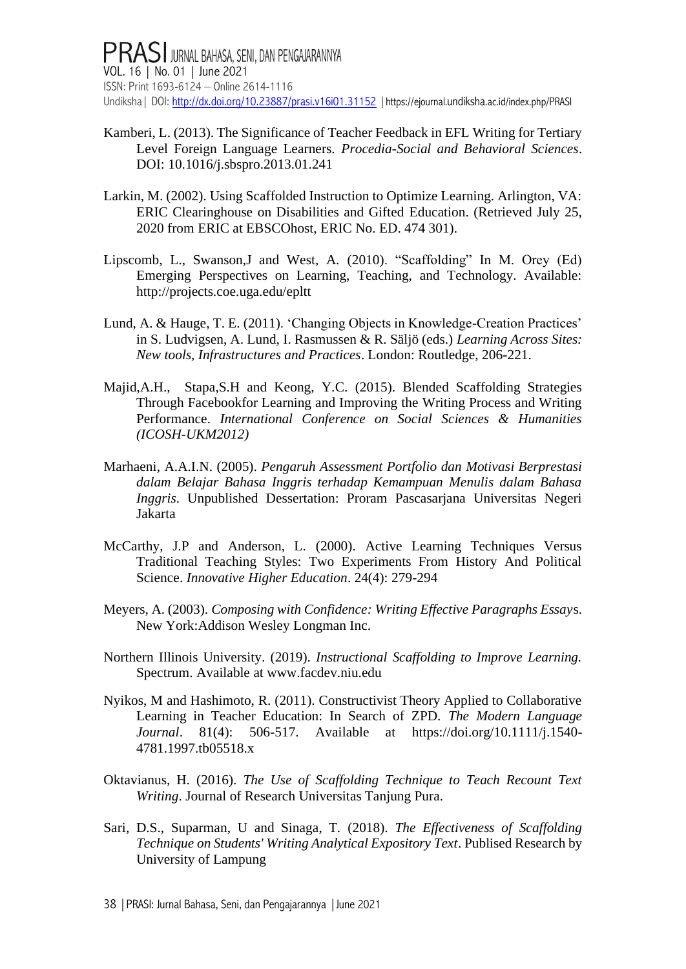- Kamberi, L. (2013). The Significance of Teacher Feedback in EFL Writing for Tertiary Level Foreign Language Learners. *Procedia-Social and Behavioral Sciences*. DOI: [10.1016/j.sbspro.2013.01.241](https://www.researchgate.net/deref/http%3A%2F%2Fdx.doi.org%2F10.1016%2Fj.sbspro.2013.01.241)
- Larkin, M. (2002). Using Scaffolded Instruction to Optimize Learning. Arlington, VA: ERIC Clearinghouse on Disabilities and Gifted Education. (Retrieved July 25, 2020 from ERIC at EBSCOhost, ERIC No. ED. 474 301).
- Lipscomb, L., Swanson,J and West, A. (2010). "Scaffolding" In M. Orey (Ed) Emerging Perspectives on Learning, Teaching, and Technology. Available: http://projects.coe.uga.edu/epltt
- Lund, A. & Hauge, T. E. (2011). 'Changing Objects in Knowledge-Creation Practices' in S. Ludvigsen, A. Lund, I. Rasmussen & R. Säljö (eds.) *Learning Across Sites: New tools, Infrastructures and Practices*. London: Routledge, 206-221.
- Majid,A.H., Stapa,S.H and Keong, Y.C. (2015). Blended Scaffolding Strategies Through Facebookfor Learning and Improving the Writing Process and Writing Performance. *International Conference on Social Sciences & Humanities (ICOSH-UKM2012)*
- Marhaeni, A.A.I.N. (2005). *Pengaruh Assessment Portfolio dan Motivasi Berprestasi dalam Belajar Bahasa Inggris terhadap Kemampuan Menulis dalam Bahasa Inggris*. Unpublished Dessertation: Proram Pascasarjana Universitas Negeri Jakarta
- McCarthy, J.P and Anderson, L. (2000). Active Learning Techniques Versus Traditional Teaching Styles: Two Experiments From History And Political Science. *Innovative Higher Education*. 24(4): 279-294
- Meyers, A. (2003). *Composing with Confidence: Writing Effective Paragraphs Essay*s. New York:Addison Wesley Longman Inc.
- Northern Illinois University. (2019). *Instructional Scaffolding to Improve Learning.*  Spectrum. Available at [www.facdev.niu.edu](http://www.niu.edu/facdev)
- Nyikos, M and Hashimoto, R. (2011). Constructivist Theory Applied to Collaborative Learning in Teacher Education: In Search of ZPD. *The Modern Language Journal*. 81(4): 506-517. Available at [https://doi.org/10.1111/j.1540-](https://doi.org/10.1111/j.1540-4781.1997.tb05518.x) [4781.1997.tb05518.x](https://doi.org/10.1111/j.1540-4781.1997.tb05518.x)
- Oktavianus, H. (2016). *The Use of Scaffolding Technique to Teach Recount Text Writing*. Journal of Research Universitas Tanjung Pura.
- Sari, D.S., Suparman, U and Sinaga, T. (2018). *The Effectiveness of Scaffolding Technique on Students' Writing Analytical Expository Text*. Publised Research by University of Lampung